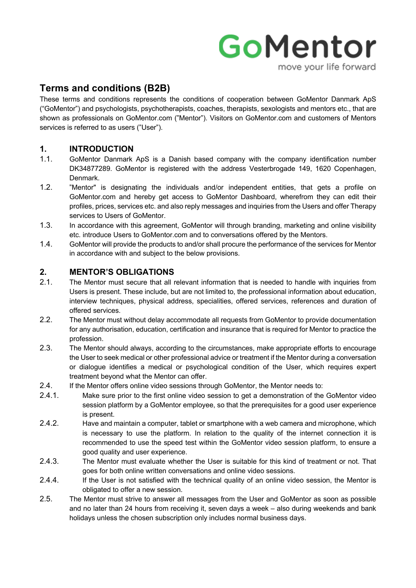# GoMentor move your life forward

# **Terms and conditions (B2B)**

These terms and conditions represents the conditions of cooperation between GoMentor Danmark ApS ("GoMentor") and psychologists, psychotherapists, coaches, therapists, sexologists and mentors etc., that are shown as professionals on GoMentor.com ("Mentor"). Visitors on GoMentor.com and customers of Mentors services is referred to as users ("User").

# **1. INTRODUCTION**

- 1.1. GoMentor Danmark ApS is a Danish based company with the company identification number DK34877289. GoMentor is registered with the address Vesterbrogade 149, 1620 Copenhagen, Denmark.
- 1.2. "Mentor" is designating the individuals and/or independent entities, that gets a profile on GoMentor.com and hereby get access to GoMentor Dashboard, wherefrom they can edit their profiles, prices, services etc. and also reply messages and inquiries from the Users and offer Therapy services to Users of GoMentor.
- 1.3. In accordance with this agreement, GoMentor will through branding, marketing and online visibility etc. introduce Users to GoMentor.com and to conversations offered by the Mentors.
- 1.4. GoMentor will provide the products to and/or shall procure the performance of the services for Mentor in accordance with and subject to the below provisions.

# **2. MENTOR'S OBLIGATIONS**

- 2.1. The Mentor must secure that all relevant information that is needed to handle with inquiries from Users is present. These include, but are not limited to, the professional information about education, interview techniques, physical address, specialities, offered services, references and duration of offered services.
- 2.2. The Mentor must without delay accommodate all requests from GoMentor to provide documentation for any authorisation, education, certification and insurance that is required for Mentor to practice the profession.
- 2.3. The Mentor should always, according to the circumstances, make appropriate efforts to encourage the User to seek medical or other professional advice or treatment if the Mentor during a conversation or dialogue identifies a medical or psychological condition of the User, which requires expert treatment beyond what the Mentor can offer.
- 2.4. If the Mentor offers online video sessions through GoMentor, the Mentor needs to:
- 2.4.1. Make sure prior to the first online video session to get a demonstration of the GoMentor video session platform by a GoMentor employee, so that the prerequisites for a good user experience is present.
- 2.4.2. Have and maintain a computer, tablet or smartphone with a web camera and microphone, which is necessary to use the platform. In relation to the quality of the internet connection it is recommended to use the speed test within the GoMentor video session platform, to ensure a good quality and user experience.
- 2.4.3. The Mentor must evaluate whether the User is suitable for this kind of treatment or not. That goes for both online written conversations and online video sessions.
- 2.4.4. If the User is not satisfied with the technical quality of an online video session, the Mentor is obligated to offer a new session.
- 2.5. The Mentor must strive to answer all messages from the User and GoMentor as soon as possible and no later than 24 hours from receiving it, seven days a week – also during weekends and bank holidays unless the chosen subscription only includes normal business days.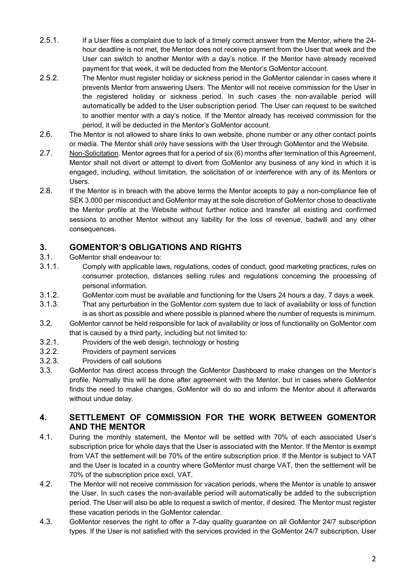- 2.5.1. If a User files a complaint due to lack of a timely correct answer from the Mentor, where the 24 hour deadline is not met, the Mentor does not receive payment from the User that week and the User can switch to another Mentor with a day's notice. If the Mentor have already received payment for that week, it will be deducted from the Mentor's GoMentor account.
- 2.5.2. The Mentor must register holiday or sickness period in the GoMentor calendar in cases where it prevents Mentor from answering Users. The Mentor will not receive commission for the User in the registered holiday or sickness period. In such cases the non-available period will automatically be added to the User subscription period. The User can request to be switched to another mentor with a day's notice. If the Mentor already has received commission for the period, it will be deducted in the Mentor's GoMentor account.
- 2.6. The Mentor is not allowed to share links to own website, phone number or any other contact points or media. The Mentor shall only have sessions with the User through GoMentor and the Website.
- 2.7. Non-Solicitation. Mentor agrees that for a period of six (6) months after termination of this Agreement, Mentor shall not divert or attempt to divert from GoMentor any business of any kind in which it is engaged, including, without limitation, the solicitation of or interference with any of its Mentors or Users.
- 2.8. If the Mentor is in breach with the above terms the Mentor accepts to pay a non-compliance fee of SEK 3.000 per misconduct and GoMentor may at the sole discretion of GoMentor chose to deactivate the Mentor profile at the Website without further notice and transfer all existing and confirmed sessions to another Mentor without any liability for the loss of revenue, badwill and any other consequences.

# **3. GOMENTOR'S OBLIGATIONS AND RIGHTS**

- 3.1. GoMentor shall endeavour to:
- 3.1.1. Comply with applicable laws, regulations, codes of conduct, good marketing practices, rules on consumer protection, distances selling rules and regulations concerning the processing of personal information.
- 3.1.2. GoMentor.com must be available and functioning for the Users 24 hours a day, 7 days a week.
- 3.1.3. That any perturbation in the GoMentor.com system due to lack of availability or loss of function is as short as possible and where possible is planned where the number of requests is minimum.
- 3.2. GoMentor cannot be held responsible for lack of availability or loss of functionality on GoMentor.com that is caused by a third party, including but not limited to:
- 3.2.1. Providers of the web design, technology or hosting
- 3.2.2. Providers of payment services
- 3.2.3. Providers of call solutions
- 3.3. GoMentor has direct access through the GoMentor Dashboard to make changes on the Mentor's profile. Normally this will be done after agreement with the Mentor, but in cases where GoMentor finds the need to make changes, GoMentor will do so and inform the Mentor about it afterwards without undue delay.

# **4. SETTLEMENT OF COMMISSION FOR THE WORK BETWEEN GOMENTOR AND THE MENTOR**

- 4.1. During the monthly statement, the Mentor will be settled with 70% of each associated User's subscription price for whole days that the User is associated with the Mentor. If the Mentor is exempt from VAT the settlement will be 70% of the entire subscription price. If the Mentor is subject to VAT and the User is located in a country where GoMentor must charge VAT, then the settlement will be 70% of the subscription price excl. VAT.
- 4.2. The Mentor will not receive commission for vacation periods, where the Mentor is unable to answer the User. In such cases the non-available period will automatically be added to the subscription period. The User will also be able to request a switch of mentor, if desired. The Mentor must register these vacation periods in the GoMentor calendar.
- 4.3. GoMentor reserves the right to offer a 7-day quality guarantee on all GoMentor 24/7 subscription types. If the User is not satisfied with the services provided in the GoMentor 24/7 subscription, User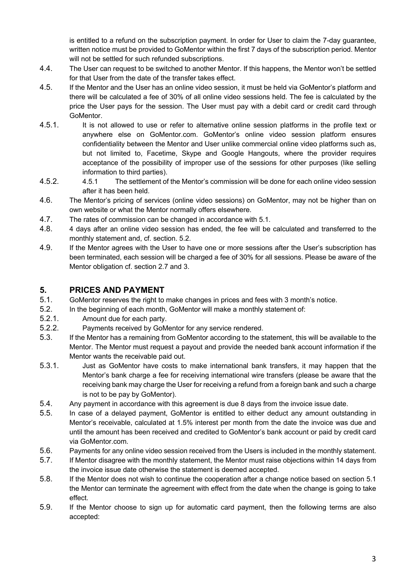is entitled to a refund on the subscription payment. In order for User to claim the 7-day guarantee, written notice must be provided to GoMentor within the first 7 days of the subscription period. Mentor will not be settled for such refunded subscriptions.

- 4.4. The User can request to be switched to another Mentor. If this happens, the Mentor won't be settled for that User from the date of the transfer takes effect.
- 4.5. If the Mentor and the User has an online video session, it must be held via GoMentor's platform and there will be calculated a fee of 30% of all online video sessions held. The fee is calculated by the price the User pays for the session. The User must pay with a debit card or credit card through GoMentor.
- 4.5.1. It is not allowed to use or refer to alternative online session platforms in the profile text or anywhere else on GoMentor.com. GoMentor's online video session platform ensures confidentiality between the Mentor and User unlike commercial online video platforms such as, but not limited to, Facetime, Skype and Google Hangouts, where the provider requires acceptance of the possibility of improper use of the sessions for other purposes (like selling information to third parties).
- 4.5.2. 4.5.1 The settlement of the Mentor's commission will be done for each online video session after it has been held.
- 4.6. The Mentor's pricing of services (online video sessions) on GoMentor, may not be higher than on own website or what the Mentor normally offers elsewhere.
- 4.7. The rates of commission can be changed in accordance with 5.1.
- 4.8. 4 days after an online video session has ended, the fee will be calculated and transferred to the monthly statement and, cf. section. 5.2.
- 4.9. If the Mentor agrees with the User to have one or more sessions after the User's subscription has been terminated, each session will be charged a fee of 30% for all sessions. Please be aware of the Mentor obligation cf. section 2.7 and 3.

# **5. PRICES AND PAYMENT**

- 5.1. GoMentor reserves the right to make changes in prices and fees with 3 month's notice.
- 5.2. In the beginning of each month, GoMentor will make a monthly statement of:
- 5.2.1. Amount due for each party.
- 5.2.2. Payments received by GoMentor for any service rendered.
- 5.3. If the Mentor has a remaining from GoMentor according to the statement, this will be available to the Mentor. The Mentor must request a payout and provide the needed bank account information if the Mentor wants the receivable paid out.
- 5.3.1. Just as GoMentor have costs to make international bank transfers, it may happen that the Mentor's bank charge a fee for receiving international wire transfers (please be aware that the receiving bank may charge the User for receiving a refund from a foreign bank and such a charge is not to be pay by GoMentor).
- 5.4. Any payment in accordance with this agreement is due 8 days from the invoice issue date.
- 5.5. In case of a delayed payment, GoMentor is entitled to either deduct any amount outstanding in Mentor's receivable, calculated at 1.5% interest per month from the date the invoice was due and until the amount has been received and credited to GoMentor's bank account or paid by credit card via GoMentor.com.
- 5.6. Payments for any online video session received from the Users is included in the monthly statement.
- 5.7. If Mentor disagree with the monthly statement, the Mentor must raise objections within 14 days from the invoice issue date otherwise the statement is deemed accepted.
- 5.8. If the Mentor does not wish to continue the cooperation after a change notice based on section 5.1 the Mentor can terminate the agreement with effect from the date when the change is going to take effect.
- 5.9. If the Mentor choose to sign up for automatic card payment, then the following terms are also accepted: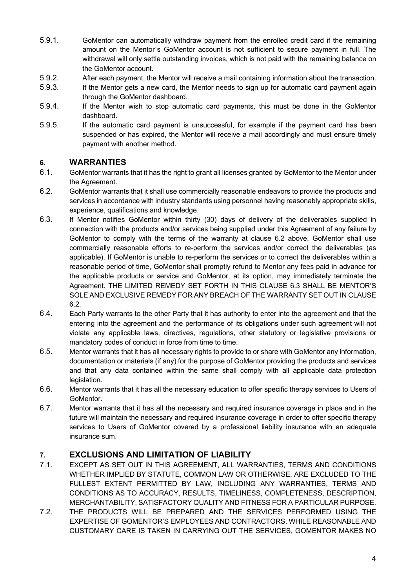- 5.9.1. GoMentor can automatically withdraw payment from the enrolled credit card if the remaining amount on the Mentor´s GoMentor account is not sufficient to secure payment in full. The withdrawal will only settle outstanding invoices, which is not paid with the remaining balance on the GoMentor account.
- 5.9.2. After each payment, the Mentor will receive a mail containing information about the transaction.
- 5.9.3. If the Mentor gets a new card, the Mentor needs to sign up for automatic card payment again through the GoMentor dashboard.
- 5.9.4. If the Mentor wish to stop automatic card payments, this must be done in the GoMentor dashboard.
- 5.9.5. If the automatic card payment is unsuccessful, for example if the payment card has been suspended or has expired, the Mentor will receive a mail accordingly and must ensure timely payment with another method.

# **6. WARRANTIES**

- 6.1. GoMentor warrants that it has the right to grant all licenses granted by GoMentor to the Mentor under the Agreement.
- 6.2. GoMentor warrants that it shall use commercially reasonable endeavors to provide the products and services in accordance with industry standards using personnel having reasonably appropriate skills, experience, qualifications and knowledge.
- 6.3. If Mentor notifies GoMentor within thirty (30) days of delivery of the deliverables supplied in connection with the products and/or services being supplied under this Agreement of any failure by GoMentor to comply with the terms of the warranty at clause 6.2 above, GoMentor shall use commercially reasonable efforts to re-perform the services and/or correct the deliverables (as applicable). If GoMentor is unable to re-perform the services or to correct the deliverables within a reasonable period of time, GoMentor shall promptly refund to Mentor any fees paid in advance for the applicable products or service and GoMentor, at its option, may immediately terminate the Agreement. THE LIMITED REMEDY SET FORTH IN THIS CLAUSE 6.3 SHALL BE MENTOR'S SOLE AND EXCLUSIVE REMEDY FOR ANY BREACH OF THE WARRANTY SET OUT IN CLAUSE 6.2.
- 6.4. Each Party warrants to the other Party that it has authority to enter into the agreement and that the entering into the agreement and the performance of its obligations under such agreement will not violate any applicable laws, directives, regulations, other statutory or legislative provisions or mandatory codes of conduct in force from time to time.
- 6.5. Mentor warrants that it has all necessary rights to provide to or share with GoMentor any information, documentation or materials (if any) for the purpose of GoMentor providing the products and services and that any data contained within the same shall comply with all applicable data protection legislation.
- 6.6. Mentor warrants that it has all the necessary education to offer specific therapy services to Users of GoMentor.
- 6.7. Mentor warrants that it has all the necessary and required insurance coverage in place and in the future will maintain the necessary and required insurance coverage in order to offer specific therapy services to Users of GoMentor covered by a professional liability insurance with an adequate insurance sum.

# **7. EXCLUSIONS AND LIMITATION OF LIABILITY**

- 7.1. EXCEPT AS SET OUT IN THIS AGREEMENT, ALL WARRANTIES, TERMS AND CONDITIONS WHETHER IMPLIED BY STATUTE, COMMON LAW OR OTHERWISE, ARE EXCLUDED TO THE FULLEST EXTENT PERMITTED BY LAW, INCLUDING ANY WARRANTIES, TERMS AND CONDITIONS AS TO ACCURACY, RESULTS, TIMELINESS, COMPLETENESS, DESCRIPTION, MERCHANTABILITY, SATISFACTORY QUALITY AND FITNESS FOR A PARTICULAR PURPOSE.
- 7.2. THE PRODUCTS WILL BE PREPARED AND THE SERVICES PERFORMED USING THE EXPERTISE OF GOMENTOR'S EMPLOYEES AND CONTRACTORS. WHILE REASONABLE AND CUSTOMARY CARE IS TAKEN IN CARRYING OUT THE SERVICES, GOMENTOR MAKES NO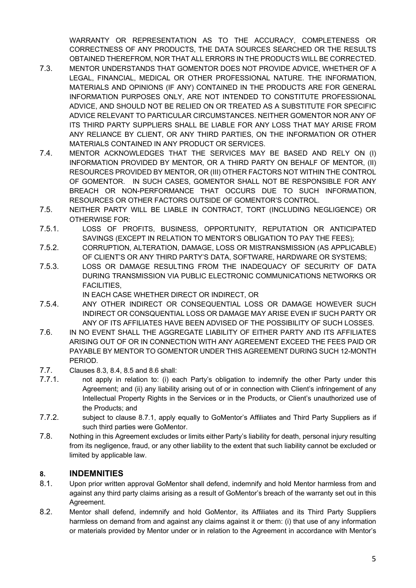WARRANTY OR REPRESENTATION AS TO THE ACCURACY, COMPLETENESS OR CORRECTNESS OF ANY PRODUCTS, THE DATA SOURCES SEARCHED OR THE RESULTS OBTAINED THEREFROM, NOR THAT ALL ERRORS IN THE PRODUCTS WILL BE CORRECTED.

- 7.3. MENTOR UNDERSTANDS THAT GOMENTOR DOES NOT PROVIDE ADVICE, WHETHER OF A LEGAL, FINANCIAL, MEDICAL OR OTHER PROFESSIONAL NATURE. THE INFORMATION, MATERIALS AND OPINIONS (IF ANY) CONTAINED IN THE PRODUCTS ARE FOR GENERAL INFORMATION PURPOSES ONLY, ARE NOT INTENDED TO CONSTITUTE PROFESSIONAL ADVICE, AND SHOULD NOT BE RELIED ON OR TREATED AS A SUBSTITUTE FOR SPECIFIC ADVICE RELEVANT TO PARTICULAR CIRCUMSTANCES. NEITHER GOMENTOR NOR ANY OF ITS THIRD PARTY SUPPLIERS SHALL BE LIABLE FOR ANY LOSS THAT MAY ARISE FROM ANY RELIANCE BY CLIENT, OR ANY THIRD PARTIES, ON THE INFORMATION OR OTHER MATERIALS CONTAINED IN ANY PRODUCT OR SERVICES.
- 7.4. MENTOR ACKNOWLEDGES THAT THE SERVICES MAY BE BASED AND RELY ON (I) INFORMATION PROVIDED BY MENTOR, OR A THIRD PARTY ON BEHALF OF MENTOR, (II) RESOURCES PROVIDED BY MENTOR, OR (III) OTHER FACTORS NOT WITHIN THE CONTROL OF GOMENTOR. IN SUCH CASES, GOMENTOR SHALL NOT BE RESPONSIBLE FOR ANY BREACH OR NON-PERFORMANCE THAT OCCURS DUE TO SUCH INFORMATION, RESOURCES OR OTHER FACTORS OUTSIDE OF GOMENTOR'S CONTROL.
- 7.5. NEITHER PARTY WILL BE LIABLE IN CONTRACT, TORT (INCLUDING NEGLIGENCE) OR OTHERWISE FOR:
- 7.5.1. LOSS OF PROFITS, BUSINESS, OPPORTUNITY, REPUTATION OR ANTICIPATED SAVINGS (EXCEPT IN RELATION TO MENTOR'S OBLIGATION TO PAY THE FEES);
- 7.5.2. CORRUPTION, ALTERATION, DAMAGE, LOSS OR MISTRANSMISSION (AS APPLICABLE) OF CLIENT'S OR ANY THIRD PARTY'S DATA, SOFTWARE, HARDWARE OR SYSTEMS;
- 7.5.3. LOSS OR DAMAGE RESULTING FROM THE INADEQUACY OF SECURITY OF DATA DURING TRANSMISSION VIA PUBLIC ELECTRONIC COMMUNICATIONS NETWORKS OR FACILITIES,
	- IN EACH CASE WHETHER DIRECT OR INDIRECT, OR
- 7.5.4. ANY OTHER INDIRECT OR CONSEQUENTIAL LOSS OR DAMAGE HOWEVER SUCH INDIRECT OR CONSQUENTIAL LOSS OR DAMAGE MAY ARISE EVEN IF SUCH PARTY OR ANY OF ITS AFFILIATES HAVE BEEN ADVISED OF THE POSSIBILITY OF SUCH LOSSES.
- 7.6. IN NO EVENT SHALL THE AGGREGATE LIABILITY OF EITHER PARTY AND ITS AFFILIATES ARISING OUT OF OR IN CONNECTION WITH ANY AGREEMENT EXCEED THE FEES PAID OR PAYABLE BY MENTOR TO GOMENTOR UNDER THIS AGREEMENT DURING SUCH 12-MONTH PERIOD.
- 7.7. Clauses 8.3, 8.4, 8.5 and 8.6 shall:
- 7.7.1. not apply in relation to: (i) each Party's obligation to indemnify the other Party under this Agreement; and (ii) any liability arising out of or in connection with Client's infringement of any Intellectual Property Rights in the Services or in the Products, or Client's unauthorized use of the Products; and
- 7.7.2. subject to clause 8.7.1, apply equally to GoMentor's Affiliates and Third Party Suppliers as if such third parties were GoMentor.
- 7.8. Nothing in this Agreement excludes or limits either Party's liability for death, personal injury resulting from its negligence, fraud, or any other liability to the extent that such liability cannot be excluded or limited by applicable law.

#### **8. INDEMNITIES**

- 8.1. Upon prior written approval GoMentor shall defend, indemnify and hold Mentor harmless from and against any third party claims arising as a result of GoMentor's breach of the warranty set out in this Agreement.
- 8.2. Mentor shall defend, indemnify and hold GoMentor, its Affiliates and its Third Party Suppliers harmless on demand from and against any claims against it or them: (i) that use of any information or materials provided by Mentor under or in relation to the Agreement in accordance with Mentor's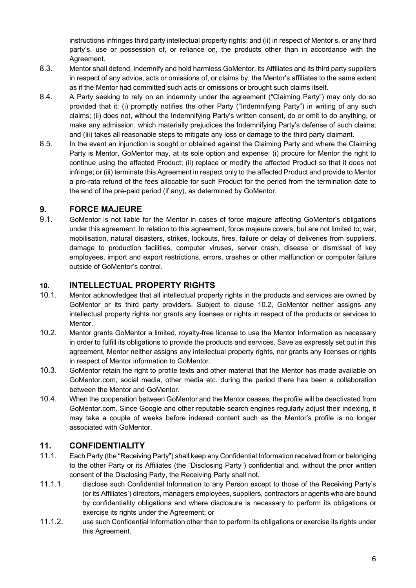instructions infringes third party intellectual property rights; and (ii) in respect of Mentor's, or any third party's, use or possession of, or reliance on, the products other than in accordance with the Agreement.

- 8.3. Mentor shall defend, indemnify and hold harmless GoMentor, its Affiliates and its third party suppliers in respect of any advice, acts or omissions of, or claims by, the Mentor's affiliates to the same extent as if the Mentor had committed such acts or omissions or brought such claims itself.
- 8.4. A Party seeking to rely on an indemnity under the agreement ("Claiming Party") may only do so provided that it: (i) promptly notifies the other Party ("Indemnifying Party") in writing of any such claims; (ii) does not, without the Indemnifying Party's written consent, do or omit to do anything, or make any admission, which materially prejudices the Indemnifying Party's defense of such claims; and (iii) takes all reasonable steps to mitigate any loss or damage to the third party claimant.
- 8.5. In the event an injunction is sought or obtained against the Claiming Party and where the Claiming Party is Mentor, GoMentor may, at its sole option and expense: (i) procure for Mentor the right to continue using the affected Product; (ii) replace or modify the affected Product so that it does not infringe; or (iii) terminate this Agreement in respect only to the affected Product and provide to Mentor a pro-rata refund of the fees allocable for such Product for the period from the termination date to the end of the pre-paid period (if any), as determined by GoMentor.

# **9. FORCE MAJEURE**

9.1. GoMentor is not liable for the Mentor in cases of force majeure affecting GoMentor's obligations under this agreement. In relation to this agreement, force majeure covers, but are not limited to; war, mobilisation, natural disasters, strikes, lockouts, fires, failure or delay of deliveries from suppliers, damage to production facilities, computer viruses, server crash, disease or dismissal of key employees, import and export restrictions, errors, crashes or other malfunction or computer failure outside of GoMentor's control.

#### **10. INTELLECTUAL PROPERTY RIGHTS**

- 10.1. Mentor acknowledges that all intellectual property rights in the products and services are owned by GoMentor or its third party providers. Subject to clause 10.2, GoMentor neither assigns any intellectual property rights nor grants any licenses or rights in respect of the products or services to Mentor.
- 10.2. Mentor grants GoMentor a limited, royalty-free license to use the Mentor Information as necessary in order to fulfill its obligations to provide the products and services. Save as expressly set out in this agreement, Mentor neither assigns any intellectual property rights, nor grants any licenses or rights in respect of Mentor information to GoMentor.
- 10.3. GoMentor retain the right to profile texts and other material that the Mentor has made available on GoMentor.com, social media, other media etc. during the period there has been a collaboration between the Mentor and GoMentor.
- 10.4. When the cooperation between GoMentor and the Mentor ceases, the profile will be deactivated from GoMentor.com. Since Google and other reputable search engines regularly adjust their indexing, it may take a couple of weeks before indexed content such as the Mentor's profile is no longer associated with GoMentor.

#### **11. CONFIDENTIALITY**

- 11.1. Each Party (the "Receiving Party") shall keep any Confidential Information received from or belonging to the other Party or its Affiliates (the "Disclosing Party") confidential and, without the prior written consent of the Disclosing Party, the Receiving Party shall not.
- 11.1.1. disclose such Confidential Information to any Person except to those of the Receiving Party's (or its Affiliates') directors, managers employees, suppliers, contractors or agents who are bound by confidentiality obligations and where disclosure is necessary to perform its obligations or exercise its rights under the Agreement; or
- 11.1.2. use such Confidential Information other than to perform its obligations or exercise its rights under this Agreement.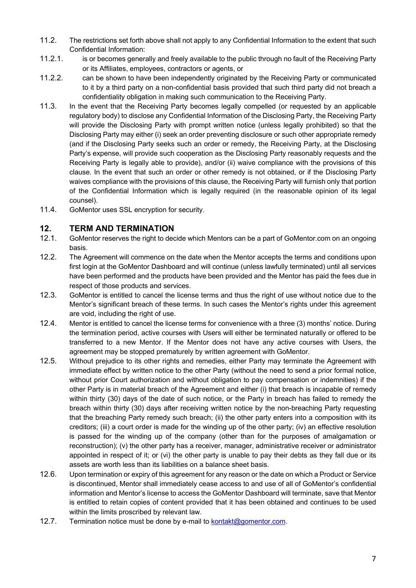- 11.2. The restrictions set forth above shall not apply to any Confidential Information to the extent that such Confidential Information:
- 11.2.1. is or becomes generally and freely available to the public through no fault of the Receiving Party or its Affiliates, employees, contractors or agents, or
- 11.2.2. can be shown to have been independently originated by the Receiving Party or communicated to it by a third party on a non-confidential basis provided that such third party did not breach a confidentiality obligation in making such communication to the Receiving Party.
- 11.3. In the event that the Receiving Party becomes legally compelled (or requested by an applicable regulatory body) to disclose any Confidential Information of the Disclosing Party, the Receiving Party will provide the Disclosing Party with prompt written notice (unless legally prohibited) so that the Disclosing Party may either (i) seek an order preventing disclosure or such other appropriate remedy (and if the Disclosing Party seeks such an order or remedy, the Receiving Party, at the Disclosing Party's expense, will provide such cooperation as the Disclosing Party reasonably requests and the Receiving Party is legally able to provide), and/or (ii) waive compliance with the provisions of this clause. In the event that such an order or other remedy is not obtained, or if the Disclosing Party waives compliance with the provisions of this clause, the Receiving Party will furnish only that portion of the Confidential Information which is legally required (in the reasonable opinion of its legal counsel).
- 11.4. GoMentor uses SSL encryption for security.

#### **12. TERM AND TERMINATION**

- 12.1. GoMentor reserves the right to decide which Mentors can be a part of GoMentor.com on an ongoing basis.
- 12.2. The Agreement will commence on the date when the Mentor accepts the terms and conditions upon first login at the GoMentor Dashboard and will continue (unless lawfully terminated) until all services have been performed and the products have been provided and the Mentor has paid the fees due in respect of those products and services.
- 12.3. GoMentor is entitled to cancel the license terms and thus the right of use without notice due to the Mentor's significant breach of these terms. In such cases the Mentor's rights under this agreement are void, including the right of use.
- 12.4. Mentor is entitled to cancel the license terms for convenience with a three (3) months' notice. During the termination period, active courses with Users will either be terminated naturally or offered to be transferred to a new Mentor. If the Mentor does not have any active courses with Users, the agreement may be stopped prematurely by written agreement with GoMentor.
- 12.5. Without prejudice to its other rights and remedies, either Party may terminate the Agreement with immediate effect by written notice to the other Party (without the need to send a prior formal notice, without prior Court authorization and without obligation to pay compensation or indemnities) if the other Party is in material breach of the Agreement and either (i) that breach is incapable of remedy within thirty (30) days of the date of such notice, or the Party in breach has failed to remedy the breach within thirty (30) days after receiving written notice by the non-breaching Party requesting that the breaching Party remedy such breach; (ii) the other party enters into a composition with its creditors; (iii) a court order is made for the winding up of the other party; (iv) an effective resolution is passed for the winding up of the company (other than for the purposes of amalgamation or reconstruction); (v) the other party has a receiver, manager, administrative receiver or administrator appointed in respect of it; or (vi) the other party is unable to pay their debts as they fall due or its assets are worth less than its liabilities on a balance sheet basis.
- 12.6. Upon termination or expiry of this agreement for any reason or the date on which a Product or Service is discontinued, Mentor shall immediately cease access to and use of all of GoMentor's confidential information and Mentor's license to access the GoMentor Dashboard will terminate, save that Mentor is entitled to retain copies of content provided that it has been obtained and continues to be used within the limits proscribed by relevant law.
- 12.7. Termination notice must be done by e-mail to kontakt@gomentor.com.